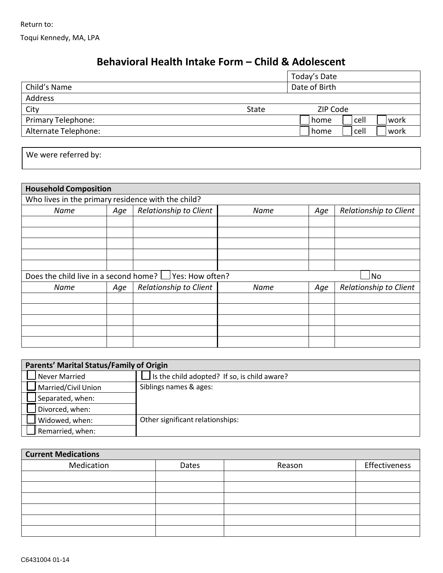Return to: Toqui Kennedy, MA, LPA

## **Behavioral Health Intake Form – Child & Adolescent**

|                      |              | Today's Date            |
|----------------------|--------------|-------------------------|
| Child's Name         |              | Date of Birth           |
| Address              |              |                         |
| City                 | <b>State</b> | ZIP Code                |
| Primary Telephone:   |              | cell<br>work<br>l home. |
| Alternate Telephone: |              | cell<br>work<br>home    |
|                      |              |                         |

| We were referred by: |  |  |
|----------------------|--|--|
|----------------------|--|--|

| <b>Household Composition</b>                       |     |                                                              |      |     |                        |  |
|----------------------------------------------------|-----|--------------------------------------------------------------|------|-----|------------------------|--|
| Who lives in the primary residence with the child? |     |                                                              |      |     |                        |  |
| Name                                               | Age | Relationship to Client                                       | Name | Age | Relationship to Client |  |
|                                                    |     |                                                              |      |     |                        |  |
|                                                    |     |                                                              |      |     |                        |  |
|                                                    |     |                                                              |      |     |                        |  |
|                                                    |     |                                                              |      |     |                        |  |
|                                                    |     |                                                              |      |     |                        |  |
|                                                    |     | Does the child live in a second home? $\Box$ Yes: How often? |      |     | No                     |  |
| Name                                               | Age | Relationship to Client                                       | Name | Age | Relationship to Client |  |
|                                                    |     |                                                              |      |     |                        |  |
|                                                    |     |                                                              |      |     |                        |  |
|                                                    |     |                                                              |      |     |                        |  |
|                                                    |     |                                                              |      |     |                        |  |
|                                                    |     |                                                              |      |     |                        |  |

| <b>Parents' Marital Status/Family of Origin</b> |                                              |  |  |
|-------------------------------------------------|----------------------------------------------|--|--|
| Never Married                                   | Is the child adopted? If so, is child aware? |  |  |
| Married/Civil Union                             | Siblings names & ages:                       |  |  |
| Separated, when:                                |                                              |  |  |
| Divorced, when:                                 |                                              |  |  |
| Widowed, when:                                  | Other significant relationships:             |  |  |
| Remarried, when:                                |                                              |  |  |

| <b>Current Medications</b> |       |        |               |  |
|----------------------------|-------|--------|---------------|--|
| Medication                 | Dates | Reason | Effectiveness |  |
|                            |       |        |               |  |
|                            |       |        |               |  |
|                            |       |        |               |  |
|                            |       |        |               |  |
|                            |       |        |               |  |
|                            |       |        |               |  |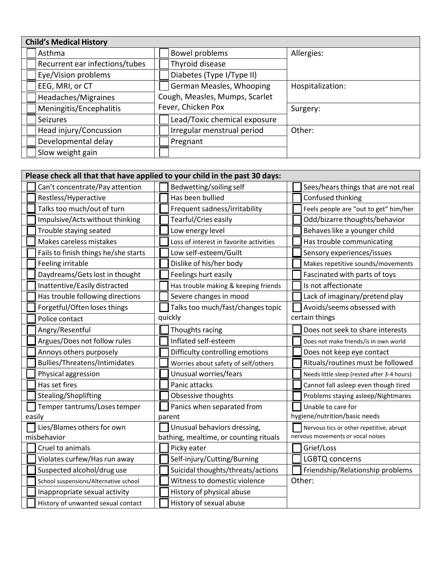| <b>Child's Medical History</b> |                                |                  |
|--------------------------------|--------------------------------|------------------|
| Asthma                         | Bowel problems                 | Allergies:       |
| Recurrent ear infections/tubes | Thyroid disease                |                  |
| Eye/Vision problems            | Diabetes (Type I/Type II)      |                  |
| EEG, MRI, or CT                | German Measles, Whooping       | Hospitalization: |
| Headaches/Migraines            | Cough, Measles, Mumps, Scarlet |                  |
| Meningitis/Encephalitis        | Fever, Chicken Pox             | Surgery:         |
| <b>Seizures</b>                | Lead/Toxic chemical exposure   |                  |
| Head injury/Concussion         | Irregular menstrual period     | Other:           |
| Developmental delay            | Pregnant                       |                  |
| Slow weight gain               |                                |                  |

| Please check all that that have applied to your child in the past 30 days: |  |                                         |  |                                             |
|----------------------------------------------------------------------------|--|-----------------------------------------|--|---------------------------------------------|
| Can't concentrate/Pay attention                                            |  | Bedwetting/soiling self                 |  | Sees/hears things that are not real         |
| Restless/Hyperactive                                                       |  | Has been bullied                        |  | Confused thinking                           |
| Talks too much/out of turn                                                 |  | Frequent sadness/irritability           |  | Feels people are "out to get" him/her       |
| Impulsive/Acts without thinking                                            |  | Tearful/Cries easily                    |  | Odd/bizarre thoughts/behavior               |
| Trouble staying seated                                                     |  | Low energy level                        |  | Behaves like a younger child                |
| Makes careless mistakes                                                    |  | Loss of interest in favorite activities |  | Has trouble communicating                   |
| Fails to finish things he/she starts                                       |  | Low self-esteem/Guilt                   |  | Sensory experiences/issues                  |
| Feeling irritable                                                          |  | Dislike of his/her body                 |  | Makes repetitive sounds/movements           |
| Daydreams/Gets lost in thought                                             |  | Feelings hurt easily                    |  | Fascinated with parts of toys               |
| Inattentive/Easily distracted                                              |  | Has trouble making & keeping friends    |  | Is not affectionate                         |
| Has trouble following directions                                           |  | Severe changes in mood                  |  | Lack of imaginary/pretend play              |
| Forgetful/Often loses things                                               |  | Talks too much/fast/changes topic       |  | Avoids/seems obsessed with                  |
| Police contact                                                             |  | quickly                                 |  | certain things                              |
| Angry/Resentful                                                            |  | Thoughts racing                         |  | Does not seek to share interests            |
| Argues/Does not follow rules                                               |  | Inflated self-esteem                    |  | Does not make friends/is in own world       |
| Annoys others purposely                                                    |  | Difficulty controlling emotions         |  | Does not keep eye contact                   |
| Bullies/Threatens/Intimidates                                              |  | Worries about safety of self/others     |  | Rituals/routines must be followed           |
| Physical aggression                                                        |  | Unusual worries/fears                   |  | Needs little sleep (rested after 3-4 hours) |
| Has set fires                                                              |  | Panic attacks                           |  | Cannot fall asleep even though tired        |
| Stealing/Shoplifting                                                       |  | Obsessive thoughts                      |  | Problems staying asleep/Nightmares          |
| Temper tantrums/Loses temper                                               |  | Panics when separated from              |  | Unable to care for                          |
| easily                                                                     |  | parent                                  |  | hygiene/nutrition/basic needs               |
| Lies/Blames others for own                                                 |  | Unusual behaviors dressing,             |  | Nervous tics or other repetitive, abrupt    |
| misbehavior                                                                |  | bathing, mealtime, or counting rituals  |  | nervous movements or vocal noises           |
| Cruel to animals                                                           |  | Picky eater                             |  | Grief/Loss                                  |
| Violates curfew/Has run away                                               |  | Self-injury/Cutting/Burning             |  | LGBTQ concerns                              |
| Suspected alcohol/drug use                                                 |  | Suicidal thoughts/threats/actions       |  | Friendship/Relationship problems            |
| School suspensions/Alternative school                                      |  | Witness to domestic violence            |  | Other:                                      |
| Inappropriate sexual activity                                              |  | History of physical abuse               |  |                                             |
| History of unwanted sexual contact                                         |  | History of sexual abuse                 |  |                                             |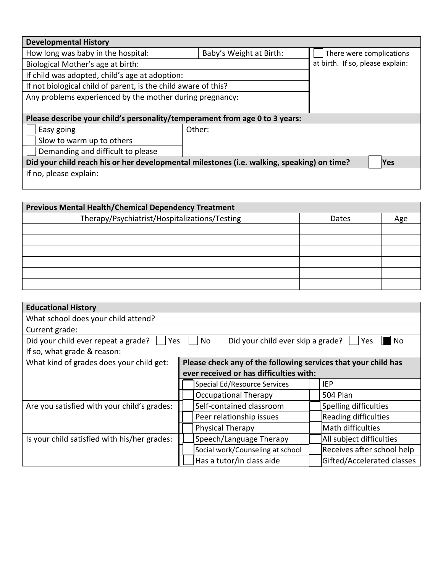| <b>Developmental History</b>                                                               |                                  |            |  |  |
|--------------------------------------------------------------------------------------------|----------------------------------|------------|--|--|
| How long was baby in the hospital:                                                         | There were complications         |            |  |  |
| Biological Mother's age at birth:                                                          | at birth. If so, please explain: |            |  |  |
| If child was adopted, child's age at adoption:                                             |                                  |            |  |  |
| If not biological child of parent, is the child aware of this?                             |                                  |            |  |  |
| Any problems experienced by the mother during pregnancy:                                   |                                  |            |  |  |
|                                                                                            |                                  |            |  |  |
| Please describe your child's personality/temperament from age 0 to 3 years:                |                                  |            |  |  |
| Easy going                                                                                 | Other:                           |            |  |  |
| Slow to warm up to others                                                                  |                                  |            |  |  |
| Demanding and difficult to please                                                          |                                  |            |  |  |
| Did your child reach his or her developmental milestones (i.e. walking, speaking) on time? |                                  | <b>Yes</b> |  |  |
| If no, please explain:                                                                     |                                  |            |  |  |
|                                                                                            |                                  |            |  |  |

| <b>Previous Mental Health/Chemical Dependency Treatment</b> |       |     |  |  |
|-------------------------------------------------------------|-------|-----|--|--|
| Therapy/Psychiatrist/Hospitalizations/Testing               | Dates | Age |  |  |
|                                                             |       |     |  |  |
|                                                             |       |     |  |  |
|                                                             |       |     |  |  |
|                                                             |       |     |  |  |
|                                                             |       |     |  |  |
|                                                             |       |     |  |  |

| <b>Educational History</b>                   |                                                                |                            |  |  |  |
|----------------------------------------------|----------------------------------------------------------------|----------------------------|--|--|--|
| What school does your child attend?          |                                                                |                            |  |  |  |
| Current grade:                               |                                                                |                            |  |  |  |
| Did your child ever repeat a grade?<br>Yes   | Did your child ever skip a grade?<br>No                        | <b>No</b><br>Yes           |  |  |  |
| If so, what grade & reason:                  |                                                                |                            |  |  |  |
| What kind of grades does your child get:     | Please check any of the following services that your child has |                            |  |  |  |
|                                              | ever received or has difficulties with:                        |                            |  |  |  |
|                                              | Special Ed/Resource Services                                   | IEP                        |  |  |  |
|                                              | <b>Occupational Therapy</b>                                    | <b>504 Plan</b>            |  |  |  |
| Are you satisfied with your child's grades:  | Self-contained classroom                                       | Spelling difficulties      |  |  |  |
|                                              | Peer relationship issues                                       | Reading difficulties       |  |  |  |
|                                              | Physical Therapy                                               | Math difficulties          |  |  |  |
| Is your child satisfied with his/her grades: | Speech/Language Therapy                                        | All subject difficulties   |  |  |  |
|                                              | Social work/Counseling at school                               | Receives after school help |  |  |  |
|                                              | Has a tutor/in class aide                                      | Gifted/Accelerated classes |  |  |  |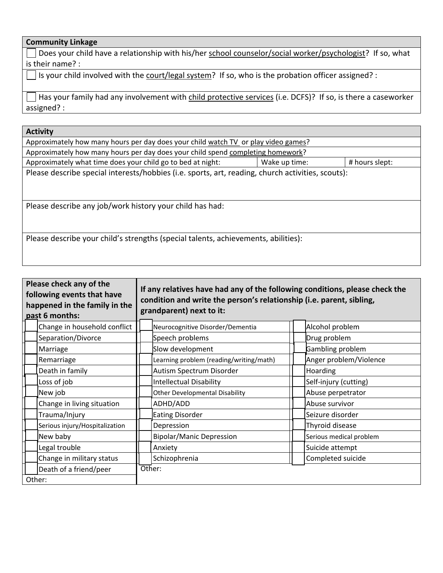## **Community Linkage**

Does your child have a relationship with his/her school counselor/social worker/psychologist? If so, what is their name? :

 $\Box$  Is your child involved with the court/legal system? If so, who is the probation officer assigned? :

Has your family had any involvement with child protective services (i.e. DCFS)? If so, is there a caseworker assigned? :

| <b>Activity</b>                                                                                   |               |                |  |  |
|---------------------------------------------------------------------------------------------------|---------------|----------------|--|--|
| Approximately how many hours per day does your child watch TV or play video games?                |               |                |  |  |
| Approximately how many hours per day does your child spend completing homework?                   |               |                |  |  |
| Approximately what time does your child go to bed at night:                                       | Wake up time: | # hours slept: |  |  |
| Please describe special interests/hobbies (i.e. sports, art, reading, church activities, scouts): |               |                |  |  |
|                                                                                                   |               |                |  |  |
|                                                                                                   |               |                |  |  |
| Please describe any job/work history your child has had:                                          |               |                |  |  |
| Please describe your child's strengths (special talents, achievements, abilities):                |               |                |  |  |
|                                                                                                   |               |                |  |  |
|                                                                                                   |               |                |  |  |

| Please check any of the<br>following events that have<br>happened in the family in the<br>past 6 months: |        | If any relatives have had any of the following conditions, please check the<br>condition and write the person's relationship (i.e. parent, sibling,<br>grandparent) next to it: |                         |
|----------------------------------------------------------------------------------------------------------|--------|---------------------------------------------------------------------------------------------------------------------------------------------------------------------------------|-------------------------|
| Change in household conflict                                                                             |        | Neurocognitive Disorder/Dementia                                                                                                                                                | Alcohol problem         |
| Separation/Divorce                                                                                       |        | Speech problems                                                                                                                                                                 | Drug problem            |
| Marriage                                                                                                 |        | Slow development                                                                                                                                                                | Gambling problem        |
| Remarriage                                                                                               |        | Learning problem (reading/writing/math)                                                                                                                                         | Anger problem/Violence  |
| Death in family                                                                                          |        | Autism Spectrum Disorder                                                                                                                                                        | Hoarding                |
| Loss of job                                                                                              |        | <b>Intellectual Disability</b>                                                                                                                                                  | Self-injury (cutting)   |
| New job                                                                                                  |        | <b>Other Developmental Disability</b>                                                                                                                                           | Abuse perpetrator       |
| Change in living situation                                                                               |        | ADHD/ADD                                                                                                                                                                        | Abuse survivor          |
| Trauma/Injury                                                                                            |        | <b>Eating Disorder</b>                                                                                                                                                          | Seizure disorder        |
| Serious injury/Hospitalization                                                                           |        | Depression                                                                                                                                                                      | Thyroid disease         |
| New baby                                                                                                 |        | <b>Bipolar/Manic Depression</b>                                                                                                                                                 | Serious medical problem |
| Legal trouble                                                                                            |        | Anxiety                                                                                                                                                                         | Suicide attempt         |
| Change in military status                                                                                |        | Schizophrenia                                                                                                                                                                   | Completed suicide       |
| Death of a friend/peer                                                                                   | Other: |                                                                                                                                                                                 |                         |
| Other:                                                                                                   |        |                                                                                                                                                                                 |                         |